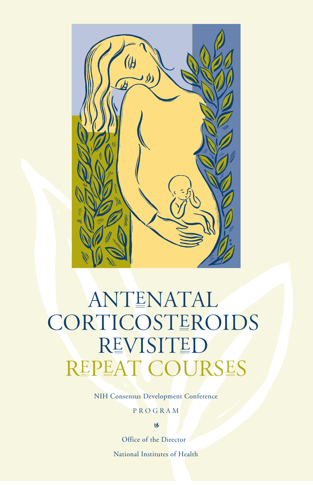

# ANTENATAL CORTICOSTEROIDS REVISITED REPEAT COURSES

NIH Consensus Development Conference

Program

**YOU** 

Office of the Director National Institutes of Health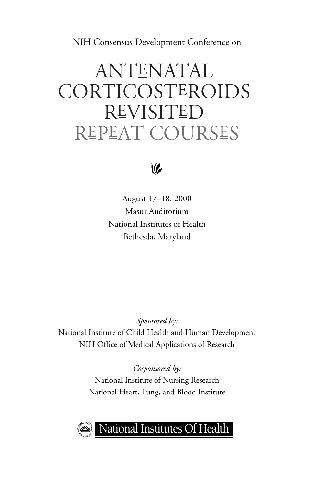NIH Consensus Development Conference on

# **ANTENATAL** CORTICOSTEROIDS **REVISITED** Repeat Courses



August 17–18, 2000 Masur Auditorium National Institutes of Health Bethesda, Maryland

*Sponsored by:*  National Institute of Child Health and Human Development NIH Office of Medical Applications of Research

> *Cosponsored by:*  National Institute of Nursing Research National Heart, Lung, and Blood Institute



### National Institutes Of Health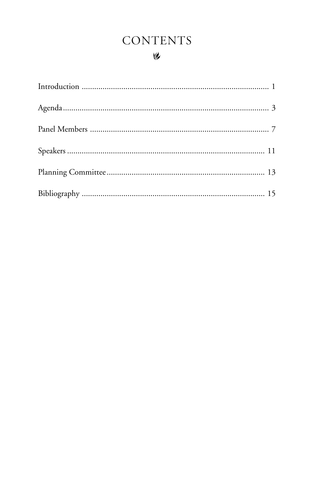## **CONTENTS**

### $\vee$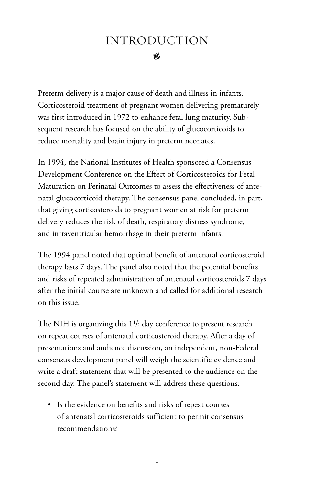### **I** Introduction

<span id="page-3-0"></span>Preterm delivery is a major cause of death and illness in infants. Corticosteroid treatment of pregnant women delivering prematurely was first introduced in 1972 to enhance fetal lung maturity. Subsequent research has focused on the ability of glucocorticoids to reduce mortality and brain injury in preterm neonates.

In 1994, the National Institutes of Health sponsored a Consensus Development Conference on the Effect of Corticosteroids for Fetal Maturation on Perinatal Outcomes to assess the effectiveness of antenatal glucocorticoid therapy. The consensus panel concluded, in part, that giving corticosteroids to pregnant women at risk for preterm delivery reduces the risk of death, respiratory distress syndrome, and intraventricular hemorrhage in their preterm infants.

The 1994 panel noted that optimal benefit of antenatal corticosteroid therapy lasts 7 days. The panel also noted that the potential benefits and risks of repeated administration of antenatal corticosteroids 7 days after the initial course are unknown and called for additional research on this issue.

The NIH is organizing this  $1\frac{1}{2}$  day conference to present research on repeat courses of antenatal corticosteroid therapy. After a day of presentations and audience discussion, an independent, non-Federal consensus development panel will weigh the scientific evidence and write a draft statement that will be presented to the audience on the second day. The panel's statement will address these questions:

• Is the evidence on benefits and risks of repeat courses of antenatal corticosteroids sufficient to permit consensus recommendations?

1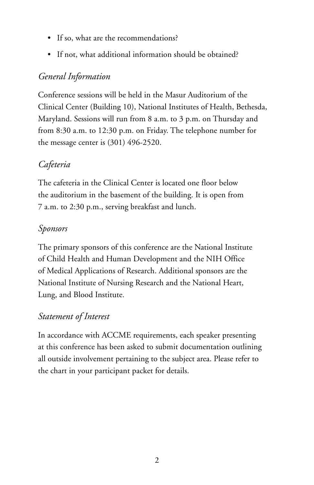- If so, what are the recommendations?
- If not, what additional information should be obtained?

### *General Information*

Conference sessions will be held in the Masur Auditorium of the Clinical Center (Building 10), National Institutes of Health, Bethesda, Maryland. Sessions will run from 8 a.m. to 3 p.m. on Thursday and from 8:30 a.m. to 12:30 p.m. on Friday. The telephone number for the message center is (301) 496-2520.

### *Cafeteria*

The cafeteria in the Clinical Center is located one floor below the auditorium in the basement of the building. It is open from 7 a.m. to 2:30 p.m., serving breakfast and lunch.

### *Sponsors*

The primary sponsors of this conference are the National Institute of Child Health and Human Development and the NIH Office of Medical Applications of Research. Additional sponsors are the National Institute of Nursing Research and the National Heart, Lung, and Blood Institute.

### *Statement of Interest*

In accordance with ACCME requirements, each speaker presenting at this conference has been asked to submit documentation outlining all outside involvement pertaining to the subject area. Please refer to the chart in your participant packet for details.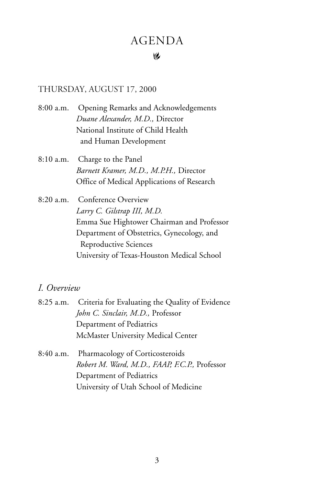## **AGENDA**

#### �

#### <span id="page-5-0"></span>Thursday, August 17, 2000

- 8:00 a.m. Opening Remarks and Acknowledgements *Duane Alexander, M.D.,* Director National Institute of Child Health and Human Development
- 8:10 a.m. Charge to the Panel *Barnett Kramer, M.D., M.P.H.,* Director Office of Medical Applications of Research
- 8:20 a.m. Conference Overview *Larry C. Gilstrap III, M.D.*  Emma Sue Hightower Chairman and Professor Department of Obstetrics, Gynecology, and Reproductive Sciences University of Texas-Houston Medical School

### *I. Overview*

| 8:25 a.m. Criteria for Evaluating the Quality of Evidence |
|-----------------------------------------------------------|
| John C. Sinclair, M.D., Professor                         |
| Department of Pediatrics                                  |
| McMaster University Medical Center                        |
|                                                           |

8:40 a.m. Pharmacology of Corticosteroids *Robert M. Ward, M.D., FAAP, F.C.P.,* Professor Department of Pediatrics University of Utah School of Medicine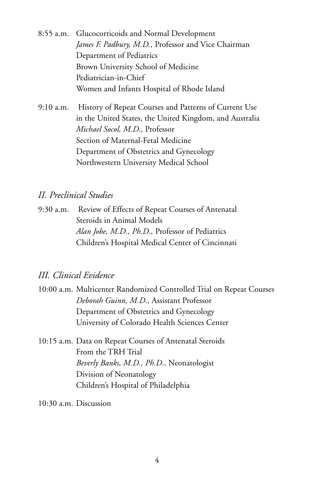8:55 a.m. Glucocorticoids and Normal Development *James F. Padbury, M.D.,* Professor and Vice Chairman Department of Pediatrics Brown University School of Medicine Pediatrician-in-Chief Women and Infants Hospital of Rhode Island

9:10 a.m. History of Repeat Courses and Patterns of Current Use in the United States, the United Kingdom, and Australia *Michael Socol, M.D.,* Professor Section of Maternal-Fetal Medicine Department of Obstetrics and Gynecology Northwestern University Medical School

### *II. Preclinical Studies*

9:30 a.m. Review of Effects of Repeat Courses of Antenatal Steroids in Animal Models *Alan Jobe, M.D., Ph.D.,* Professor of Pediatrics Children's Hospital Medical Center of Cincinnati

### *III. Clinical Evidence*

- 10:00 a.m. Multicenter Randomized Controlled Trial on Repeat Courses *Deborah Guinn, M.D.,* Assistant Professor Department of Obstetrics and Gynecology University of Colorado Health Sciences Center
- 10:15 a.m. Data on Repeat Courses of Antenatal Steroids From the TRH Trial *Beverly Banks, M.D., Ph.D.,* Neonatologist Division of Neonatology Children's Hospital of Philadelphia

10:30 a.m. Discussion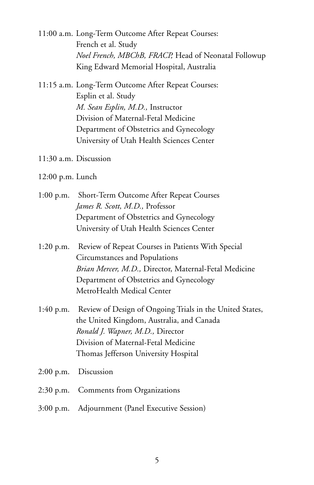- 11:00 a.m. Long-Term Outcome After Repeat Courses: French et al. Study *Noel French, MBChB, FRACP,* Head of Neonatal Followup King Edward Memorial Hospital, Australia
- 11:15 a.m. Long-Term Outcome After Repeat Courses: Esplin et al. Study *M. Sean Esplin, M.D.,* Instructor Division of Maternal-Fetal Medicine Department of Obstetrics and Gynecology University of Utah Health Sciences Center
- 11:30 a.m. Discussion
- 12:00 p.m. Lunch
- 1:00 p.m. Short-Term Outcome After Repeat Courses *James R. Scott, M.D.,* Professor Department of Obstetrics and Gynecology University of Utah Health Sciences Center
- 1:20 p.m. Review of Repeat Courses in Patients With Special Circumstances and Populations *Brian Mercer, M.D.,* Director, Maternal-Fetal Medicine Department of Obstetrics and Gynecology MetroHealth Medical Center
- 1:40 p.m. Review of Design of Ongoing Trials in the United States, the United Kingdom, Australia, and Canada *Ronald J. Wapner, M.D.,* Director Division of Maternal-Fetal Medicine Thomas Jefferson University Hospital
- 2:00 p.m. Discussion
- 2:30 p.m. Comments from Organizations
- 3:00 p.m. Adjournment (Panel Executive Session)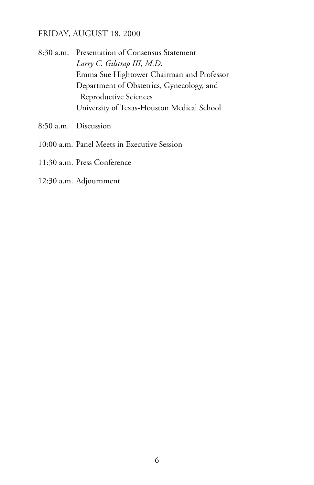### Friday, August 18, 2000

8:30 a.m. Presentation of Consensus Statement *Larry C. Gilstrap III, M.D.*  Emma Sue Hightower Chairman and Professor Department of Obstetrics, Gynecology, and Reproductive Sciences University of Texas-Houston Medical School

- 8:50 a.m. Discussion
- 10:00 a.m. Panel Meets in Executive Session
- 11:30 a.m. Press Conference
- 12:30 a.m. Adjournment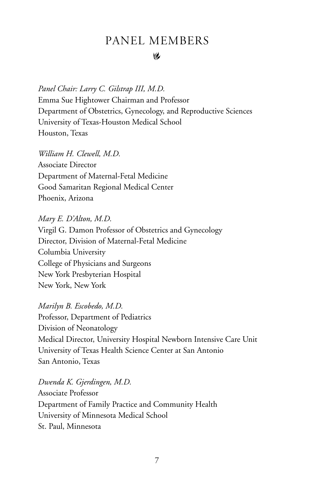### Panel Members

#### **I**

<span id="page-9-0"></span>*Panel Chair: Larry C. Gilstrap III, M.D.*  Emma Sue Hightower Chairman and Professor Department of Obstetrics, Gynecology, and Reproductive Sciences University of Texas-Houston Medical School Houston, Texas

*William H. Clewell, M.D.*  Associate Director Department of Maternal-Fetal Medicine Good Samaritan Regional Medical Center Phoenix, Arizona

*Mary E. D'Alton, M.D.*  Virgil G. Damon Professor of Obstetrics and Gynecology Director, Division of Maternal-Fetal Medicine Columbia University College of Physicians and Surgeons New York Presbyterian Hospital New York, New York

*Marilyn B. Escobedo, M.D.*  Professor, Department of Pediatrics Division of Neonatology Medical Director, University Hospital Newborn Intensive Care Unit University of Texas Health Science Center at San Antonio San Antonio, Texas

*Dwenda K. Gjerdingen, M.D.*  Associate Professor Department of Family Practice and Community Health University of Minnesota Medical School St. Paul, Minnesota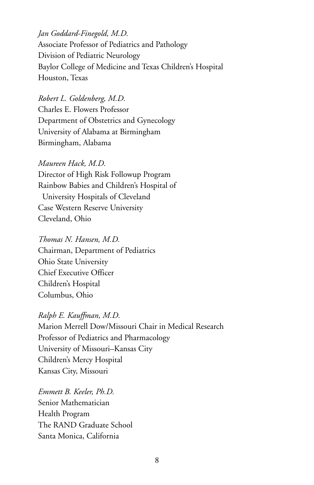*Jan Goddard-Finegold, M.D.*  Associate Professor of Pediatrics and Pathology Division of Pediatric Neurology Baylor College of Medicine and Texas Children's Hospital Houston, Texas

*Robert L. Goldenberg, M.D.* 

Charles E. Flowers Professor Department of Obstetrics and Gynecology University of Alabama at Birmingham Birmingham, Alabama

#### *Maureen Hack, M.D.*

Director of High Risk Followup Program Rainbow Babies and Children's Hospital of University Hospitals of Cleveland Case Western Reserve University Cleveland, Ohio

#### *Thomas N. Hansen, M.D.*

Chairman, Department of Pediatrics Ohio State University Chief Executive Officer Children's Hospital Columbus, Ohio

### *Ralph E. Kauffman, M.D.*

Marion Merrell Dow/Missouri Chair in Medical Research Professor of Pediatrics and Pharmacology University of Missouri–Kansas City Children's Mercy Hospital Kansas City, Missouri

*Emmett B. Keeler, Ph.D.*  Senior Mathematician Health Program The RAND Graduate School Santa Monica, California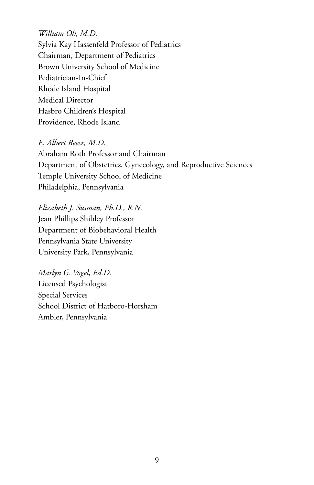*William Oh, M.D.*  Sylvia Kay Hassenfeld Professor of Pediatrics Chairman, Department of Pediatrics Brown University School of Medicine Pediatrician-In-Chief Rhode Island Hospital Medical Director Hasbro Children's Hospital Providence, Rhode Island

*E. Albert Reece, M.D.*  Abraham Roth Professor and Chairman Department of Obstetrics, Gynecology, and Reproductive Sciences Temple University School of Medicine Philadelphia, Pennsylvania

*Elizabeth J. Susman, Ph.D., R.N.*  Jean Phillips Shibley Professor Department of Biobehavioral Health Pennsylvania State University University Park, Pennsylvania

*Marlyn G. Vogel, Ed.D.*  Licensed Psychologist Special Services School District of Hatboro-Horsham Ambler, Pennsylvania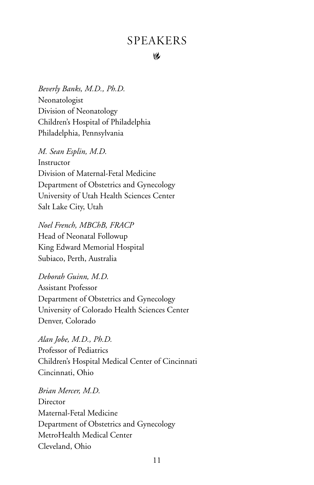### **SPEAKERS**

#### **I**

<span id="page-12-0"></span>*Beverly Banks, M.D., Ph.D.*  Neonatologist Division of Neonatology Children's Hospital of Philadelphia Philadelphia, Pennsylvania

*M. Sean Esplin, M.D.* 

Instructor Division of Maternal-Fetal Medicine Department of Obstetrics and Gynecology University of Utah Health Sciences Center Salt Lake City, Utah

*Noel French, MBChB, FRACP*  Head of Neonatal Followup King Edward Memorial Hospital Subiaco, Perth, Australia

*Deborah Guinn, M.D.*  Assistant Professor Department of Obstetrics and Gynecology University of Colorado Health Sciences Center Denver, Colorado

*Alan Jobe, M.D., Ph.D.*  Professor of Pediatrics Children's Hospital Medical Center of Cincinnati Cincinnati, Ohio

*Brian Mercer, M.D.*  **Director** Maternal-Fetal Medicine Department of Obstetrics and Gynecology MetroHealth Medical Center Cleveland, Ohio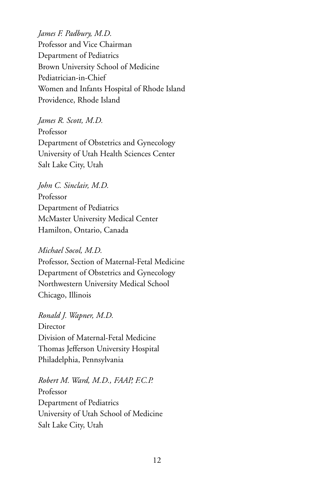*James F. Padbury, M.D.*  Professor and Vice Chairman Department of Pediatrics Brown University School of Medicine Pediatrician-in-Chief Women and Infants Hospital of Rhode Island Providence, Rhode Island

*James R. Scott, M.D.*  Professor Department of Obstetrics and Gynecology University of Utah Health Sciences Center Salt Lake City, Utah

#### *John C. Sinclair, M.D.*

Professor Department of Pediatrics McMaster University Medical Center Hamilton, Ontario, Canada

#### *Michael Socol, M.D.*

Professor, Section of Maternal-Fetal Medicine Department of Obstetrics and Gynecology Northwestern University Medical School Chicago, Illinois

*Ronald J. Wapner, M.D.*  **Director** Division of Maternal-Fetal Medicine Thomas Jefferson University Hospital Philadelphia, Pennsylvania

*Robert M. Ward, M.D., FAAP, F.C.P.*  Professor Department of Pediatrics University of Utah School of Medicine Salt Lake City, Utah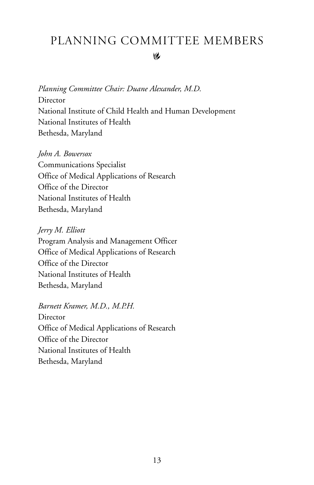### <span id="page-14-0"></span>� Planning Committee Members

*Planning Committee Chair: Duane Alexander, M.D.*  **Director** National Institute of Child Health and Human Development National Institutes of Health Bethesda, Maryland

#### *John A. Bowersox*

Communications Specialist Office of Medical Applications of Research Office of the Director National Institutes of Health Bethesda, Maryland

#### *Jerry M. Elliott*

Program Analysis and Management Officer Office of Medical Applications of Research Office of the Director National Institutes of Health Bethesda, Maryland

#### *Barnett Kramer, M.D., M.P.H.*

**Director** Office of Medical Applications of Research Office of the Director National Institutes of Health Bethesda, Maryland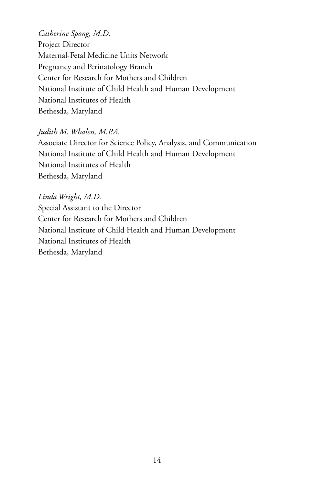*Catherine Spong, M.D.*  Project Director Maternal-Fetal Medicine Units Network Pregnancy and Perinatology Branch Center for Research for Mothers and Children National Institute of Child Health and Human Development National Institutes of Health Bethesda, Maryland

### *Judith M. Whalen, M.P.A.*

Associate Director for Science Policy, Analysis, and Communication National Institute of Child Health and Human Development National Institutes of Health Bethesda, Maryland

*Linda Wright, M.D.*  Special Assistant to the Director Center for Research for Mothers and Children National Institute of Child Health and Human Development National Institutes of Health Bethesda, Maryland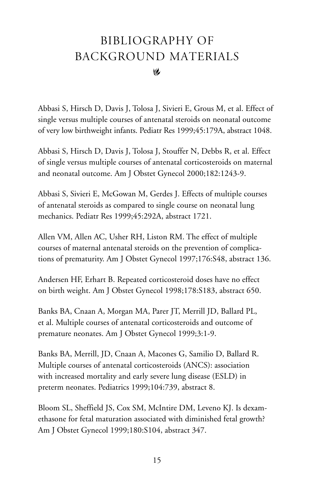### <span id="page-16-0"></span>� Bibliography of Background Materials

Abbasi S, Hirsch D, Davis J, Tolosa J, Sivieri E, Grous M, et al. Effect of single versus multiple courses of antenatal steroids on neonatal outcome of very low birthweight infants. Pediatr Res 1999;45:179A, abstract 1048.

Abbasi S, Hirsch D, Davis J, Tolosa J, Stouffer N, Debbs R, et al. Effect of single versus multiple courses of antenatal corticosteroids on maternal and neonatal outcome. Am J Obstet Gynecol 2000;182:1243-9.

Abbasi S, Sivieri E, McGowan M, Gerdes J. Effects of multiple courses of antenatal steroids as compared to single course on neonatal lung mechanics. Pediatr Res 1999;45:292A, abstract 1721.

Allen VM, Allen AC, Usher RH, Liston RM. The effect of multiple courses of maternal antenatal steroids on the prevention of complications of prematurity. Am J Obstet Gynecol 1997;176:S48, abstract 136.

Andersen HF, Erhart B. Repeated corticosteroid doses have no effect on birth weight. Am J Obstet Gynecol 1998;178:S183, abstract 650.

Banks BA, Cnaan A, Morgan MA, Parer JT, Merrill JD, Ballard PL, et al. Multiple courses of antenatal corticosteroids and outcome of premature neonates. Am J Obstet Gynecol 1999;3:1-9.

Banks BA, Merrill, JD, Cnaan A, Macones G, Samilio D, Ballard R. Multiple courses of antenatal corticosteroids (ANCS): association with increased mortality and early severe lung disease (ESLD) in preterm neonates. Pediatrics 1999;104:739, abstract 8.

Bloom SL, Sheffield JS, Cox SM, McIntire DM, Leveno KJ. Is dexamethasone for fetal maturation associated with diminished fetal growth? Am J Obstet Gynecol 1999;180:S104, abstract 347.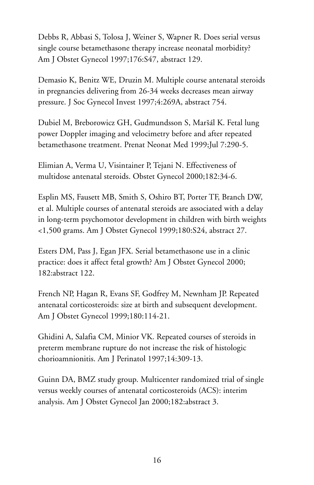Debbs R, Abbasi S, Tolosa J, Weiner S, Wapner R. Does serial versus single course betamethasone therapy increase neonatal morbidity? Am J Obstet Gynecol 1997;176:S47, abstract 129.

Demasio K, Benitz WE, Druzin M. Multiple course antenatal steroids in pregnancies delivering from 26-34 weeks decreases mean airway pressure. J Soc Gynecol Invest 1997;4:269A, abstract 754.

Dubiel M, Breborowicz GH, Gudmundsson S, Maršál K. Fetal lung power Doppler imaging and velocimetry before and after repeated betamethasone treatment. Prenat Neonat Med 1999;Jul 7:290-5.

Elimian A, Verma U, Visintainer P, Tejani N. Effectiveness of multidose antenatal steroids. Obstet Gynecol 2000;182:34-6.

Esplin MS, Fausett MB, Smith S, Oshiro BT, Porter TF, Branch DW, et al. Multiple courses of antenatal steroids are associated with a delay in long-term psychomotor development in children with birth weights <1,500 grams. Am J Obstet Gynecol 1999;180:S24, abstract 27.

Esters DM, Pass J, Egan JFX. Serial betamethasone use in a clinic practice: does it affect fetal growth? Am J Obstet Gynecol 2000; 182:abstract 122.

French NP, Hagan R, Evans SF, Godfrey M, Newnham JP. Repeated antenatal corticosteroids: size at birth and subsequent development. Am J Obstet Gynecol 1999;180:114-21.

Ghidini A, Salafia CM, Minior VK. Repeated courses of steroids in preterm membrane rupture do not increase the risk of histologic chorioamnionitis. Am J Perinatol 1997;14:309-13.

Guinn DA, BMZ study group. Multicenter randomized trial of single versus weekly courses of antenatal corticosteroids (ACS): interim analysis. Am J Obstet Gynecol Jan 2000;182:abstract 3.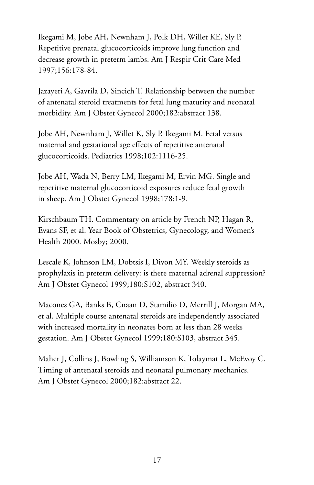Ikegami M, Jobe AH, Newnham J, Polk DH, Willet KE, Sly P. Repetitive prenatal glucocorticoids improve lung function and decrease growth in preterm lambs. Am J Respir Crit Care Med 1997;156:178-84.

Jazayeri A, Gavrila D, Sincich T. Relationship between the number of antenatal steroid treatments for fetal lung maturity and neonatal morbidity. Am J Obstet Gynecol 2000;182:abstract 138.

Jobe AH, Newnham J, Willet K, Sly P, Ikegami M. Fetal versus maternal and gestational age effects of repetitive antenatal glucocorticoids. Pediatrics 1998;102:1116-25.

Jobe AH, Wada N, Berry LM, Ikegami M, Ervin MG. Single and repetitive maternal glucocorticoid exposures reduce fetal growth in sheep. Am J Obstet Gynecol 1998;178:1-9.

Kirschbaum TH. Commentary on article by French NP, Hagan R, Evans SF, et al. Year Book of Obstetrics, Gynecology, and Women's Health 2000. Mosby; 2000.

Lescale K, Johnson LM, Dobtsis I, Divon MY. Weekly steroids as prophylaxis in preterm delivery: is there maternal adrenal suppression? Am J Obstet Gynecol 1999;180:S102, abstract 340.

Macones GA, Banks B, Cnaan D, Stamilio D, Merrill J, Morgan MA, et al. Multiple course antenatal steroids are independently associated with increased mortality in neonates born at less than 28 weeks gestation. Am J Obstet Gynecol 1999;180:S103, abstract 345.

Maher J, Collins J, Bowling S, Williamson K, Tolaymat L, McEvoy C. Timing of antenatal steroids and neonatal pulmonary mechanics. Am J Obstet Gynecol 2000;182:abstract 22.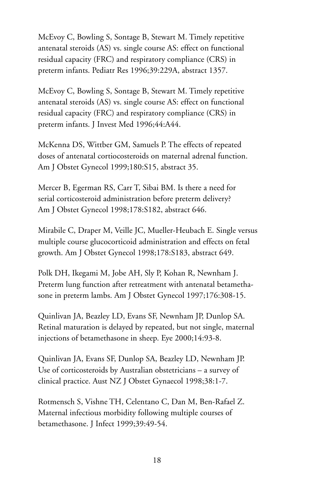McEvoy C, Bowling S, Sontage B, Stewart M. Timely repetitive antenatal steroids (AS) vs. single course AS: effect on functional residual capacity (FRC) and respiratory compliance (CRS) in preterm infants. Pediatr Res 1996;39:229A, abstract 1357.

McEvoy C, Bowling S, Sontage B, Stewart M. Timely repetitive antenatal steroids (AS) vs. single course AS: effect on functional residual capacity (FRC) and respiratory compliance (CRS) in preterm infants. J Invest Med 1996;44:A44.

McKenna DS, Wittber GM, Samuels P. The effects of repeated doses of antenatal cortiocosteroids on maternal adrenal function. Am J Obstet Gynecol 1999;180:S15, abstract 35.

Mercer B, Egerman RS, Carr T, Sibai BM. Is there a need for serial corticosteroid administration before preterm delivery? Am J Obstet Gynecol 1998;178:S182, abstract 646.

Mirabile C, Draper M, Veille JC, Mueller-Heubach E. Single versus multiple course glucocorticoid administration and effects on fetal growth. Am J Obstet Gynecol 1998;178:S183, abstract 649.

Polk DH, Ikegami M, Jobe AH, Sly P, Kohan R, Newnham J. Preterm lung function after retreatment with antenatal betamethasone in preterm lambs. Am J Obstet Gynecol 1997;176:308-15.

Quinlivan JA, Beazley LD, Evans SF, Newnham JP, Dunlop SA. Retinal maturation is delayed by repeated, but not single, maternal injections of betamethasone in sheep. Eye 2000;14:93-8.

Quinlivan JA, Evans SF, Dunlop SA, Beazley LD, Newnham JP. Use of corticosteroids by Australian obstetricians – a survey of clinical practice. Aust NZ J Obstet Gynaecol 1998;38:1-7.

Rotmensch S, Vishne TH, Celentano C, Dan M, Ben-Rafael Z. Maternal infectious morbidity following multiple courses of betamethasone. J Infect 1999;39:49-54.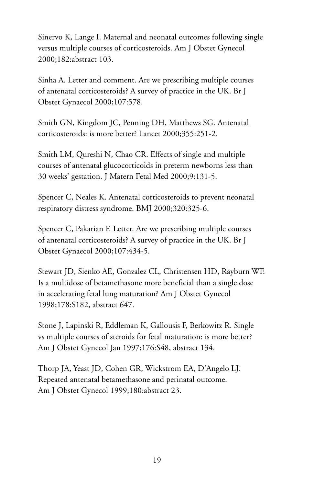Sinervo K, Lange I. Maternal and neonatal outcomes following single versus multiple courses of corticosteroids. Am J Obstet Gynecol 2000;182:abstract 103.

Sinha A. Letter and comment. Are we prescribing multiple courses of antenatal corticosteroids? A survey of practice in the UK. Br J Obstet Gynaecol 2000;107:578.

Smith GN, Kingdom JC, Penning DH, Matthews SG. Antenatal corticosteroids: is more better? Lancet 2000;355:251-2.

Smith LM, Qureshi N, Chao CR. Effects of single and multiple courses of antenatal glucocorticoids in preterm newborns less than 30 weeks' gestation. J Matern Fetal Med 2000;9:131-5.

Spencer C, Neales K. Antenatal corticosteroids to prevent neonatal respiratory distress syndrome. BMJ 2000;320:325-6.

Spencer C, Pakarian F. Letter. Are we prescribing multiple courses of antenatal corticosteroids? A survey of practice in the UK. Br J Obstet Gynaecol 2000;107:434-5.

Stewart JD, Sienko AE, Gonzalez CL, Christensen HD, Rayburn WF. Is a multidose of betamethasone more beneficial than a single dose in accelerating fetal lung maturation? Am J Obstet Gynecol 1998;178:S182, abstract 647.

Stone J, Lapinski R, Eddleman K, Gallousis F, Berkowitz R. Single vs multiple courses of steroids for fetal maturation: is more better? Am J Obstet Gynecol Jan 1997;176:S48, abstract 134.

Thorp JA, Yeast JD, Cohen GR, Wickstrom EA, D'Angelo LJ. Repeated antenatal betamethasone and perinatal outcome. Am J Obstet Gynecol 1999;180:abstract 23.